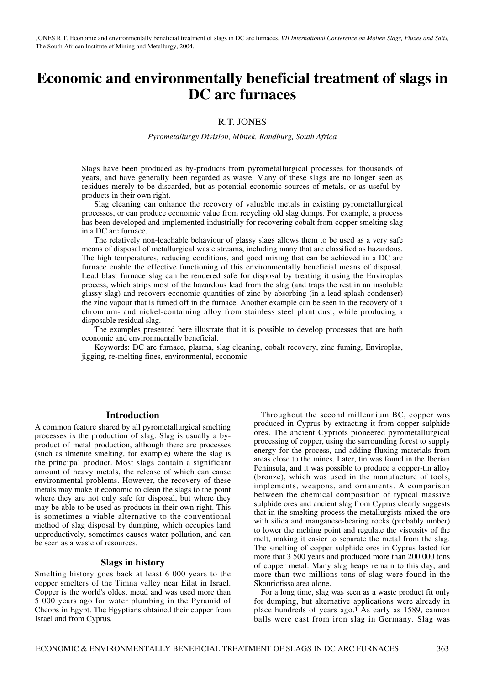# **Economic and environmentally beneficial treatment of slags in DC arc furnaces**

# R.T. JONES

*Pyrometallurgy Division, Mintek, Randburg, South Africa*

Slags have been produced as by-products from pyrometallurgical processes for thousands of years, and have generally been regarded as waste. Many of these slags are no longer seen as residues merely to be discarded, but as potential economic sources of metals, or as useful byproducts in their own right.

Slag cleaning can enhance the recovery of valuable metals in existing pyrometallurgical processes, or can produce economic value from recycling old slag dumps. For example, a process has been developed and implemented industrially for recovering cobalt from copper smelting slag in a DC arc furnace.

The relatively non-leachable behaviour of glassy slags allows them to be used as a very safe means of disposal of metallurgical waste streams, including many that are classified as hazardous. The high temperatures, reducing conditions, and good mixing that can be achieved in a DC arc furnace enable the effective functioning of this environmentally beneficial means of disposal. Lead blast furnace slag can be rendered safe for disposal by treating it using the Enviroplas process, which strips most of the hazardous lead from the slag (and traps the rest in an insoluble glassy slag) and recovers economic quantities of zinc by absorbing (in a lead splash condenser) the zinc vapour that is fumed off in the furnace. Another example can be seen in the recovery of a chromium- and nickel-containing alloy from stainless steel plant dust, while producing a disposable residual slag.

The examples presented here illustrate that it is possible to develop processes that are both economic and environmentally beneficial.

Keywords: DC arc furnace, plasma, slag cleaning, cobalt recovery, zinc fuming, Enviroplas, jigging, re-melting fines, environmental, economic

### **Introduction**

A common feature shared by all pyrometallurgical smelting processes is the production of slag. Slag is usually a byproduct of metal production, although there are processes (such as ilmenite smelting, for example) where the slag is the principal product. Most slags contain a significant amount of heavy metals, the release of which can cause environmental problems. However, the recovery of these metals may make it economic to clean the slags to the point where they are not only safe for disposal, but where they may be able to be used as products in their own right. This is sometimes a viable alternative to the conventional method of slag disposal by dumping, which occupies land unproductively, sometimes causes water pollution, and can be seen as a waste of resources.

### **Slags in history**

Smelting history goes back at least 6 000 years to the copper smelters of the Timna valley near Eilat in Israel. Copper is the world's oldest metal and was used more than 5 000 years ago for water plumbing in the Pyramid of Cheops in Egypt. The Egyptians obtained their copper from Israel and from Cyprus.

Throughout the second millennium BC, copper was produced in Cyprus by extracting it from copper sulphide ores. The ancient Cypriots pioneered pyrometallurgical processing of copper, using the surrounding forest to supply energy for the process, and adding fluxing materials from areas close to the mines. Later, tin was found in the Iberian Peninsula, and it was possible to produce a copper-tin alloy (bronze), which was used in the manufacture of tools, implements, weapons, and ornaments. A comparison between the chemical composition of typical massive sulphide ores and ancient slag from Cyprus clearly suggests that in the smelting process the metallurgists mixed the ore with silica and manganese-bearing rocks (probably umber) to lower the melting point and regulate the viscosity of the melt, making it easier to separate the metal from the slag. The smelting of copper sulphide ores in Cyprus lasted for more that 3 500 years and produced more than 200 000 tons of copper metal. Many slag heaps remain to this day, and more than two millions tons of slag were found in the Skouriotissa area alone.

For a long time, slag was seen as a waste product fit only for dumping, but alternative applications were already in place hundreds of years ago.**<sup>1</sup>** As early as 1589, cannon balls were cast from iron slag in Germany. Slag was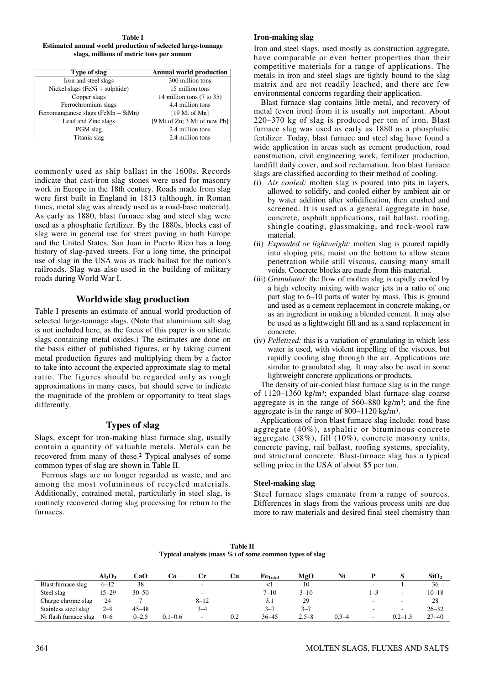**Table I Estimated annual world production of selected large-tonnage slags, millions of metric tons per annum**

| Type of slag                       | <b>Annual world production</b>       |
|------------------------------------|--------------------------------------|
| Iron and steel slags               | 300 million tons                     |
| Nickel slags (FeNi + sulphide)     | 15 million tons                      |
| Copper slags                       | 14 million tons $(7 \text{ to } 35)$ |
| Ferrochromium slags                | 4.4 million tons                     |
| Ferromanganese slags (FeMn + SiMn) | $[19 \text{ Mt of Mn}]$              |
| Lead and Zinc slags                | [9 Mt of Zn; 3 Mt of new Pb]         |
| PGM slag                           | 2.4 million tons                     |
| Titania slag                       | 2.4 million tons                     |

commonly used as ship ballast in the 1600s. Records indicate that cast-iron slag stones were used for masonry work in Europe in the 18th century. Roads made from slag were first built in England in 1813 (although, in Roman times, metal slag was already used as a road-base material). As early as 1880, blast furnace slag and steel slag were used as a phosphatic fertilizer. By the 1880s, blocks cast of slag were in general use for street paving in both Europe and the United States. San Juan in Puerto Rico has a long history of slag-paved streets. For a long time, the principal use of slag in the USA was as track ballast for the nation's railroads. Slag was also used in the building of military roads during World War I.

## **Worldwide slag production**

Table I presents an estimate of annual world production of selected large-tonnage slags. (Note that aluminium salt slag is not included here, as the focus of this paper is on silicate slags containing metal oxides.) The estimates are done on the basis either of published figures, or by taking current metal production figures and multiplying them by a factor to take into account the expected approximate slag to metal ratio. The figures should be regarded only as rough approximations in many cases, but should serve to indicate the magnitude of the problem or opportunity to treat slags differently.

# **Types of slag**

Slags, except for iron-making blast furnace slag, usually contain a quantity of valuable metals. Metals can be recovered from many of these.**<sup>2</sup>** Typical analyses of some common types of slag are shown in Table II.

Ferrous slags are no longer regarded as waste, and are among the most voluminous of recycled materials. Additionally, entrained metal, particularly in steel slag, is routinely recovered during slag processing for return to the furnaces.

#### **Iron-making slag**

Iron and steel slags, used mostly as construction aggregate, have comparable or even better properties than their competitive materials for a range of applications. The metals in iron and steel slags are tightly bound to the slag matrix and are not readily leached, and there are few environmental concerns regarding their application.

Blast furnace slag contains little metal, and recovery of metal (even iron) from it is usually not important. About 220–370 kg of slag is produced per ton of iron. Blast furnace slag was used as early as 1880 as a phosphatic fertilizer. Today, blast furnace and steel slag have found a wide application in areas such as cement production, road construction, civil engineering work, fertilizer production, landfill daily cover, and soil reclamation. Iron blast furnace slags are classified according to their method of cooling.

- (i) *Air cooled:* molten slag is poured into pits in layers, allowed to solidify, and cooled either by ambient air or by water addition after solidification, then crushed and screened. It is used as a general aggregate in base, concrete, asphalt applications, rail ballast, roofing, shingle coating, glassmaking, and rock-wool raw material.
- (ii) *Expanded or lightweight:* molten slag is poured rapidly into sloping pits, moist on the bottom to allow steam penetration while still viscous, causing many small voids. Concrete blocks are made from this material.
- (iii) *Granulated:* the flow of molten slag is rapidly cooled by a high velocity mixing with water jets in a ratio of one part slag to 6–10 parts of water by mass. This is ground and used as a cement replacement in concrete making, or as an ingredient in making a blended cement. It may also be used as a lightweight fill and as a sand replacement in concrete.
- (iv) *Pelletized:* this is a variation of granulating in which less water is used, with violent impelling of the viscous, but rapidly cooling slag through the air. Applications are similar to granulated slag. It may also be used in some lightweight concrete applications or products.

The density of air-cooled blast furnace slag is in the range of 1120–1360 kg/m3; expanded blast furnace slag coarse aggregate is in the range of 560–880 kg/m3; and the fine aggregate is in the range of 800–1120 kg/m3.

Applications of iron blast furnace slag include: road base aggregate (40%), asphaltic or bituminous concrete aggregate (38%), fill (10%), concrete masonry units, concrete paving, rail ballast, roofing systems, speciality, and structural concrete. Blast-furnace slag has a typical selling price in the USA of about \$5 per ton.

### **Steel-making slag**

Steel furnace slags emanate from a range of sources. Differences in slags from the various process units are due more to raw materials and desired final steel chemistry than

|                                                            | <b>Table II</b> |  |
|------------------------------------------------------------|-----------------|--|
| Typical analysis (mass $\%$ ) of some common types of slag |                 |  |

|                       | $Al_2O_3$ | CaO       | Cо          | Сr       | Ċu  | $Fe$ <sub>Total</sub> | MgO       | Ni        |                          |                          | SiO <sub>2</sub> |
|-----------------------|-----------|-----------|-------------|----------|-----|-----------------------|-----------|-----------|--------------------------|--------------------------|------------------|
| Blast furnace slag    | $6 - 12$  | 38        |             | -        |     | $\leq$                |           |           | $\overline{\phantom{0}}$ |                          | 36               |
| Steel slag            | 15–29     | $30 - 50$ |             |          |     | $7 - 10$              | $3 - 10$  |           | $1 - 5$                  |                          | $10 - 18$        |
| Charge chrome slag    | 24        |           |             | $8 - 12$ |     | 3.1                   | 29        |           |                          | $\overline{\phantom{a}}$ | 28               |
| Stainless steel slag  | $2 - 9$   | $45 - 48$ |             | 3–4      |     | $3 - 7$               | $3 - 7$   |           |                          |                          | $26 - 32$        |
| Ni flash furnace slag | $0 - 6$   | $0 - 2.5$ | $0.1 - 0.6$ | -        | 0.2 | $36 - 45$             | $2.5 - 8$ | $0.3 - 4$ |                          | $0.2 - 1.3$              | $27 - 40$        |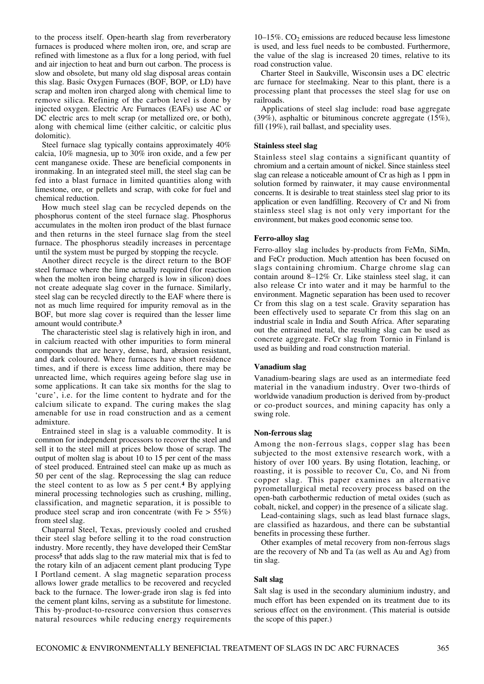to the process itself. Open-hearth slag from reverberatory furnaces is produced where molten iron, ore, and scrap are refined with limestone as a flux for a long period, with fuel and air injection to heat and burn out carbon. The process is slow and obsolete, but many old slag disposal areas contain this slag. Basic Oxygen Furnaces (BOF, BOP, or LD) have scrap and molten iron charged along with chemical lime to remove silica. Refining of the carbon level is done by injected oxygen. Electric Arc Furnaces (EAFs) use AC or DC electric arcs to melt scrap (or metallized ore, or both), along with chemical lime (either calcitic, or calcitic plus dolomitic).

Steel furnace slag typically contains approximately 40% calcia, 10% magnesia, up to 30% iron oxide, and a few per cent manganese oxide. These are beneficial components in ironmaking. In an integrated steel mill, the steel slag can be fed into a blast furnace in limited quantities along with limestone, ore, or pellets and scrap, with coke for fuel and chemical reduction.

How much steel slag can be recycled depends on the phosphorus content of the steel furnace slag. Phosphorus accumulates in the molten iron product of the blast furnace and then returns in the steel furnace slag from the steel furnace. The phosphorus steadily increases in percentage until the system must be purged by stopping the recycle.

Another direct recycle is the direct return to the BOF steel furnace where the lime actually required (for reaction when the molten iron being charged is low in silicon) does not create adequate slag cover in the furnace. Similarly, steel slag can be recycled directly to the EAF where there is not as much lime required for impurity removal as in the BOF, but more slag cover is required than the lesser lime amount would contribute.**<sup>3</sup>**

The characteristic steel slag is relatively high in iron, and in calcium reacted with other impurities to form mineral compounds that are heavy, dense, hard, abrasion resistant, and dark coloured. Where furnaces have short residence times, and if there is excess lime addition, there may be unreacted lime, which requires ageing before slag use in some applications. It can take six months for the slag to 'cure', i.e. for the lime content to hydrate and for the calcium silicate to expand. The curing makes the slag amenable for use in road construction and as a cement admixture.

Entrained steel in slag is a valuable commodity. It is common for independent processors to recover the steel and sell it to the steel mill at prices below those of scrap. The output of molten slag is about 10 to 15 per cent of the mass of steel produced. Entrained steel can make up as much as 50 per cent of the slag. Reprocessing the slag can reduce the steel content to as low as 5 per cent.**<sup>4</sup>** By applying mineral processing technologies such as crushing, milling, classification, and magnetic separation, it is possible to produce steel scrap and iron concentrate (with  $Fe > 55\%$ ) from steel slag.

Chaparral Steel, Texas, previously cooled and crushed their steel slag before selling it to the road construction industry. More recently, they have developed their CemStar process**<sup>5</sup>** that adds slag to the raw material mix that is fed to the rotary kiln of an adjacent cement plant producing Type I Portland cement. A slag magnetic separation process allows lower grade metallics to be recovered and recycled back to the furnace. The lower-grade iron slag is fed into the cement plant kilns, serving as a substitute for limestone. This by-product-to-resource conversion thus conserves natural resources while reducing energy requirements

 $10-15\%$ .  $CO<sub>2</sub>$  emissions are reduced because less limestone is used, and less fuel needs to be combusted. Furthermore, the value of the slag is increased 20 times, relative to its road construction value.

Charter Steel in Saukville, Wisconsin uses a DC electric arc furnace for steelmaking. Near to this plant, there is a processing plant that processes the steel slag for use on railroads.

Applications of steel slag include: road base aggregate (39%), asphaltic or bituminous concrete aggregate (15%), fill (19%), rail ballast, and speciality uses.

### **Stainless steel slag**

Stainless steel slag contains a significant quantity of chromium and a certain amount of nickel. Since stainless steel slag can release a noticeable amount of Cr as high as 1 ppm in solution formed by rainwater, it may cause environmental concerns. It is desirable to treat stainless steel slag prior to its application or even landfilling. Recovery of Cr and Ni from stainless steel slag is not only very important for the environment, but makes good economic sense too.

#### **Ferro-alloy slag**

Ferro-alloy slag includes by-products from FeMn, SiMn, and FeCr production. Much attention has been focused on slags containing chromium. Charge chrome slag can contain around 8–12% Cr. Like stainless steel slag, it can also release Cr into water and it may be harmful to the environment. Magnetic separation has been used to recover Cr from this slag on a test scale. Gravity separation has been effectively used to separate Cr from this slag on an industrial scale in India and South Africa. After separating out the entrained metal, the resulting slag can be used as concrete aggregate. FeCr slag from Tornio in Finland is used as building and road construction material.

#### **Vanadium slag**

Vanadium-bearing slags are used as an intermediate feed material in the vanadium industry. Over two-thirds of worldwide vanadium production is derived from by-product or co-product sources, and mining capacity has only a swing role.

#### **Non-ferrous slag**

Among the non-ferrous slags, copper slag has been subjected to the most extensive research work, with a history of over 100 years. By using flotation, leaching, or roasting, it is possible to recover Cu, Co, and Ni from copper slag. This paper examines an alternative pyrometallurgical metal recovery process based on the open-bath carbothermic reduction of metal oxides (such as cobalt, nickel, and copper) in the presence of a silicate slag.

Lead-containing slags, such as lead blast furnace slags, are classified as hazardous, and there can be substantial benefits in processing these further.

Other examples of metal recovery from non-ferrous slags are the recovery of Nb and Ta (as well as Au and Ag) from tin slag.

#### **Salt slag**

Salt slag is used in the secondary aluminium industry, and much effort has been expended on its treatment due to its serious effect on the environment. (This material is outside the scope of this paper.)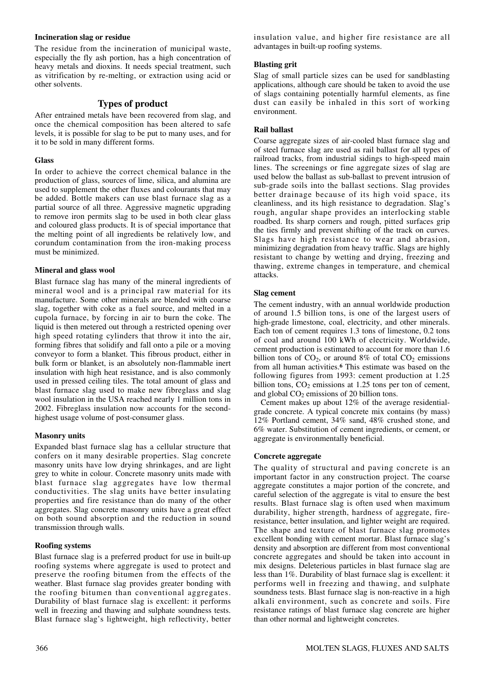### **Incineration slag or residue**

The residue from the incineration of municipal waste, especially the fly ash portion, has a high concentration of heavy metals and dioxins. It needs special treatment, such as vitrification by re-melting, or extraction using acid or other solvents.

# **Types of product**

After entrained metals have been recovered from slag, and once the chemical composition has been altered to safe levels, it is possible for slag to be put to many uses, and for it to be sold in many different forms.

### **Glass**

In order to achieve the correct chemical balance in the production of glass, sources of lime, silica, and alumina are used to supplement the other fluxes and colourants that may be added. Bottle makers can use blast furnace slag as a partial source of all three. Aggressive magnetic upgrading to remove iron permits slag to be used in both clear glass and coloured glass products. It is of special importance that the melting point of all ingredients be relatively low, and corundum contamination from the iron-making process must be minimized.

### **Mineral and glass wool**

Blast furnace slag has many of the mineral ingredients of mineral wool and is a principal raw material for its manufacture. Some other minerals are blended with coarse slag, together with coke as a fuel source, and melted in a cupola furnace, by forcing in air to burn the coke. The liquid is then metered out through a restricted opening over high speed rotating cylinders that throw it into the air, forming fibres that solidify and fall onto a pile or a moving conveyor to form a blanket. This fibrous product, either in bulk form or blanket, is an absolutely non-flammable inert insulation with high heat resistance, and is also commonly used in pressed ceiling tiles. The total amount of glass and blast furnace slag used to make new fibreglass and slag wool insulation in the USA reached nearly 1 million tons in 2002. Fibreglass insulation now accounts for the secondhighest usage volume of post-consumer glass.

### **Masonry units**

Expanded blast furnace slag has a cellular structure that confers on it many desirable properties. Slag concrete masonry units have low drying shrinkages, and are light grey to white in colour. Concrete masonry units made with blast furnace slag aggregates have low thermal conductivities. The slag units have better insulating properties and fire resistance than do many of the other aggregates. Slag concrete masonry units have a great effect on both sound absorption and the reduction in sound transmission through walls.

### **Roofing systems**

Blast furnace slag is a preferred product for use in built-up roofing systems where aggregate is used to protect and preserve the roofing bitumen from the effects of the weather. Blast furnace slag provides greater bonding with the roofing bitumen than conventional aggregates. Durability of blast furnace slag is excellent: it performs well in freezing and thawing and sulphate soundness tests. Blast furnace slag's lightweight, high reflectivity, better insulation value, and higher fire resistance are all advantages in built-up roofing systems.

### **Blasting grit**

Slag of small particle sizes can be used for sandblasting applications, although care should be taken to avoid the use of slags containing potentially harmful elements, as fine dust can easily be inhaled in this sort of working environment.

### **Rail ballast**

Coarse aggregate sizes of air-cooled blast furnace slag and of steel furnace slag are used as rail ballast for all types of railroad tracks, from industrial sidings to high-speed main lines. The screenings or fine aggregate sizes of slag are used below the ballast as sub-ballast to prevent intrusion of sub-grade soils into the ballast sections. Slag provides better drainage because of its high void space, its cleanliness, and its high resistance to degradation. Slag's rough, angular shape provides an interlocking stable roadbed. Its sharp corners and rough, pitted surfaces grip the ties firmly and prevent shifting of the track on curves. Slags have high resistance to wear and abrasion, minimizing degradation from heavy traffic. Slags are highly resistant to change by wetting and drying, freezing and thawing, extreme changes in temperature, and chemical attacks.

### **Slag cement**

The cement industry, with an annual worldwide production of around 1.5 billion tons, is one of the largest users of high-grade limestone, coal, electricity, and other minerals. Each ton of cement requires 1.3 tons of limestone, 0.2 tons of coal and around 100 kWh of electricity. Worldwide, cement production is estimated to account for more than 1.6 billion tons of  $CO<sub>2</sub>$ , or around 8% of total  $CO<sub>2</sub>$  emissions from all human activities.**<sup>6</sup>** This estimate was based on the following figures from 1993: cement production at 1.25 billion tons,  $CO<sub>2</sub>$  emissions at 1.25 tons per ton of cement, and global  $CO<sub>2</sub>$  emissions of 20 billion tons.

Cement makes up about 12% of the average residentialgrade concrete. A typical concrete mix contains (by mass) 12% Portland cement, 34% sand, 48% crushed stone, and 6% water. Substitution of cement ingredients, or cement, or aggregate is environmentally beneficial.

### **Concrete aggregate**

The quality of structural and paving concrete is an important factor in any construction project. The coarse aggregate constitutes a major portion of the concrete, and careful selection of the aggregate is vital to ensure the best results. Blast furnace slag is often used when maximum durability, higher strength, hardness of aggregate, fireresistance, better insulation, and lighter weight are required. The shape and texture of blast furnace slag promotes excellent bonding with cement mortar. Blast furnace slag's density and absorption are different from most conventional concrete aggregates and should be taken into account in mix designs. Deleterious particles in blast furnace slag are less than 1%. Durability of blast furnace slag is excellent: it performs well in freezing and thawing, and sulphate soundness tests. Blast furnace slag is non-reactive in a high alkali environment, such as concrete and soils. Fire resistance ratings of blast furnace slag concrete are higher than other normal and lightweight concretes.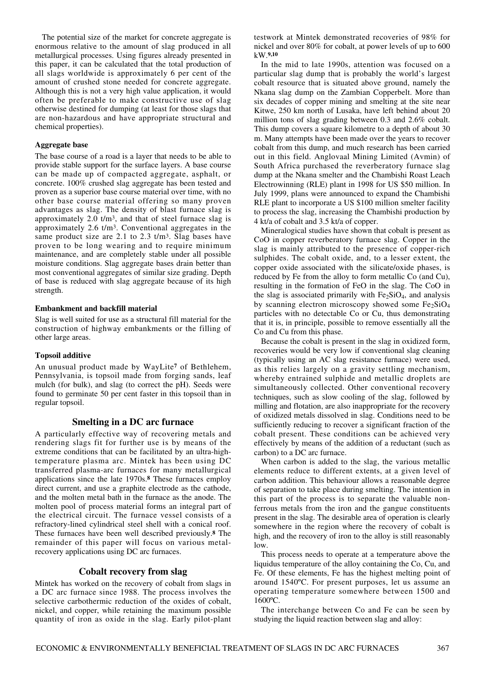The potential size of the market for concrete aggregate is enormous relative to the amount of slag produced in all metallurgical processes. Using figures already presented in this paper, it can be calculated that the total production of all slags worldwide is approximately 6 per cent of the amount of crushed stone needed for concrete aggregate. Although this is not a very high value application, it would often be preferable to make constructive use of slag otherwise destined for dumping (at least for those slags that are non-hazardous and have appropriate structural and chemical properties).

### **Aggregate base**

The base course of a road is a layer that needs to be able to provide stable support for the surface layers. A base course can be made up of compacted aggregate, asphalt, or concrete. 100% crushed slag aggregate has been tested and proven as a superior base course material over time, with no other base course material offering so many proven advantages as slag. The density of blast furnace slag is approximately 2.0 t/m3, and that of steel furnace slag is approximately 2.6 t/m3. Conventional aggregates in the same product size are 2.1 to 2.3 t/m<sup>3</sup>. Slag bases have proven to be long wearing and to require minimum maintenance, and are completely stable under all possible moisture conditions. Slag aggregate bases drain better than most conventional aggregates of similar size grading. Depth of base is reduced with slag aggregate because of its high strength.

### **Embankment and backfill material**

Slag is well suited for use as a structural fill material for the construction of highway embankments or the filling of other large areas.

### **Topsoil additive**

An unusual product made by WayLite**<sup>7</sup>** of Bethlehem, Pennsylvania, is topsoil made from forging sands, leaf mulch (for bulk), and slag (to correct the pH). Seeds were found to germinate 50 per cent faster in this topsoil than in regular topsoil.

### **Smelting in a DC arc furnace**

A particularly effective way of recovering metals and rendering slags fit for further use is by means of the extreme conditions that can be facilitated by an ultra-hightemperature plasma arc. Mintek has been using DC transferred plasma-arc furnaces for many metallurgical applications since the late 1970s.**<sup>8</sup>** These furnaces employ direct current, and use a graphite electrode as the cathode, and the molten metal bath in the furnace as the anode. The molten pool of process material forms an integral part of the electrical circuit. The furnace vessel consists of a refractory-lined cylindrical steel shell with a conical roof. These furnaces have been well described previously.**<sup>8</sup>** The remainder of this paper will focus on various metalrecovery applications using DC arc furnaces.

### **Cobalt recovery from slag**

Mintek has worked on the recovery of cobalt from slags in a DC arc furnace since 1988. The process involves the selective carbothermic reduction of the oxides of cobalt, nickel, and copper, while retaining the maximum possible quantity of iron as oxide in the slag. Early pilot-plant testwork at Mintek demonstrated recoveries of 98% for nickel and over 80% for cobalt, at power levels of up to 600 kW.**9,10**

In the mid to late 1990s, attention was focused on a particular slag dump that is probably the world's largest cobalt resource that is situated above ground, namely the Nkana slag dump on the Zambian Copperbelt. More than six decades of copper mining and smelting at the site near Kitwe, 250 km north of Lusaka, have left behind about 20 million tons of slag grading between 0.3 and 2.6% cobalt. This dump covers a square kilometre to a depth of about 30 m. Many attempts have been made over the years to recover cobalt from this dump, and much research has been carried out in this field. Anglovaal Mining Limited (Avmin) of South Africa purchased the reverberatory furnace slag dump at the Nkana smelter and the Chambishi Roast Leach Electrowinning (RLE) plant in 1998 for US \$50 million. In July 1999, plans were announced to expand the Chambishi RLE plant to incorporate a US \$100 million smelter facility to process the slag, increasing the Chambishi production by 4 kt/a of cobalt and 3.5 kt/a of copper.

Mineralogical studies have shown that cobalt is present as CoO in copper reverberatory furnace slag. Copper in the slag is mainly attributed to the presence of copper-rich sulphides. The cobalt oxide, and, to a lesser extent, the copper oxide associated with the silicate/oxide phases, is reduced by Fe from the alloy to form metallic Co (and Cu), resulting in the formation of FeO in the slag. The CoO in the slag is associated primarily with  $Fe<sub>2</sub>SiO<sub>4</sub>$ , and analysis by scanning electron microscopy showed some  $Fe<sub>2</sub>SiO<sub>4</sub>$ particles with no detectable Co or Cu, thus demonstrating that it is, in principle, possible to remove essentially all the Co and Cu from this phase.

Because the cobalt is present in the slag in oxidized form, recoveries would be very low if conventional slag cleaning (typically using an AC slag resistance furnace) were used, as this relies largely on a gravity settling mechanism, whereby entrained sulphide and metallic droplets are simultaneously collected. Other conventional recovery techniques, such as slow cooling of the slag, followed by milling and flotation, are also inappropriate for the recovery of oxidized metals dissolved in slag. Conditions need to be sufficiently reducing to recover a significant fraction of the cobalt present. These conditions can be achieved very effectively by means of the addition of a reductant (such as carbon) to a DC arc furnace.

When carbon is added to the slag, the various metallic elements reduce to different extents, at a given level of carbon addition. This behaviour allows a reasonable degree of separation to take place during smelting. The intention in this part of the process is to separate the valuable nonferrous metals from the iron and the gangue constituents present in the slag. The desirable area of operation is clearly somewhere in the region where the recovery of cobalt is high, and the recovery of iron to the alloy is still reasonably low.

This process needs to operate at a temperature above the liquidus temperature of the alloy containing the Co, Cu, and Fe. Of these elements, Fe has the highest melting point of around 1540ºC. For present purposes, let us assume an operating temperature somewhere between 1500 and 1600ºC.

The interchange between Co and Fe can be seen by studying the liquid reaction between slag and alloy: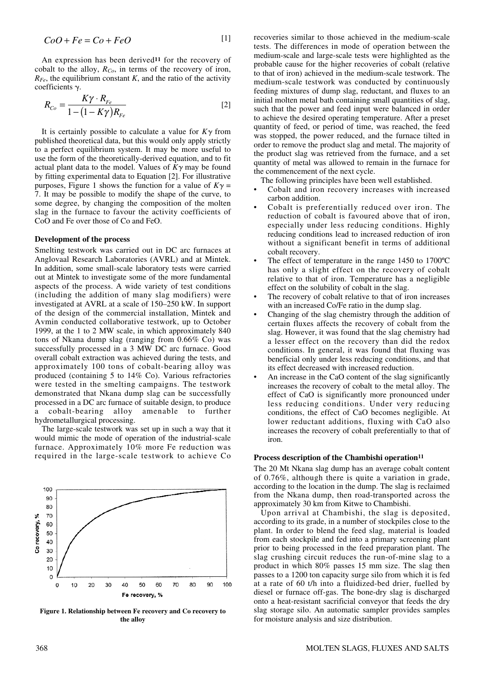$$
CoO + Fe = Co + FeO \tag{1}
$$

An expression has been derived**<sup>11</sup>** for the recovery of cobalt to the alloy, *RCo*, in terms of the recovery of iron,  $R_{Fe}$ , the equilibrium constant *K*, and the ratio of the activity  $coefficients$   $\gamma$ .

$$
R_{Co} = \frac{K\gamma \cdot R_{Fe}}{1 - (1 - K\gamma)R_{Fe}} \tag{2}
$$

It is certainly possible to calculate a value for  $K\gamma$  from published theoretical data, but this would only apply strictly to a perfect equilibrium system. It may be more useful to use the form of the theoretically-derived equation, and to fit actual plant data to the model. Values of  $K\gamma$  may be found by fitting experimental data to Equation [2]. For illustrative purposes, Figure 1 shows the function for a value of  $K\gamma =$ 7. It may be possible to modify the shape of the curve, to some degree, by changing the composition of the molten slag in the furnace to favour the activity coefficients of CoO and Fe over those of Co and FeO.

#### **Development of the process**

Smelting testwork was carried out in DC arc furnaces at Anglovaal Research Laboratories (AVRL) and at Mintek. In addition, some small-scale laboratory tests were carried out at Mintek to investigate some of the more fundamental aspects of the process. A wide variety of test conditions (including the addition of many slag modifiers) were investigated at AVRL at a scale of 150–250 kW. In support of the design of the commercial installation, Mintek and Avmin conducted collaborative testwork, up to October 1999, at the 1 to 2 MW scale, in which approximately 840 tons of Nkana dump slag (ranging from 0.66% Co) was successfully processed in a 3 MW DC arc furnace. Good overall cobalt extraction was achieved during the tests, and approximately 100 tons of cobalt-bearing alloy was produced (containing 5 to 14% Co). Various refractories were tested in the smelting campaigns. The testwork demonstrated that Nkana dump slag can be successfully processed in a DC arc furnace of suitable design, to produce a cobalt-bearing alloy amenable to further hydrometallurgical processing.

The large-scale testwork was set up in such a way that it would mimic the mode of operation of the industrial-scale furnace. Approximately 10% more Fe reduction was required in the large-scale testwork to achieve Co



**Figure 1. Relationship between Fe recovery and Co recovery to the alloy**

recoveries similar to those achieved in the medium-scale tests. The differences in mode of operation between the medium-scale and large-scale tests were highlighted as the probable cause for the higher recoveries of cobalt (relative to that of iron) achieved in the medium-scale testwork. The medium-scale testwork was conducted by continuously feeding mixtures of dump slag, reductant, and fluxes to an initial molten metal bath containing small quantities of slag, such that the power and feed input were balanced in order to achieve the desired operating temperature. After a preset quantity of feed, or period of time, was reached, the feed was stopped, the power reduced, and the furnace tilted in order to remove the product slag and metal. The majority of the product slag was retrieved from the furnace, and a set quantity of metal was allowed to remain in the furnace for the commencement of the next cycle.

The following principles have been well established.

- Cobalt and iron recovery increases with increased carbon addition.
- Cobalt is preferentially reduced over iron. The reduction of cobalt is favoured above that of iron, especially under less reducing conditions. Highly reducing conditions lead to increased reduction of iron without a significant benefit in terms of additional cobalt recovery.
- The effect of temperature in the range  $1450$  to  $1700^{\circ}$ C has only a slight effect on the recovery of cobalt relative to that of iron. Temperature has a negligible effect on the solubility of cobalt in the slag.
- The recovery of cobalt relative to that of iron increases with an increased Co/Fe ratio in the dump slag.
- Changing of the slag chemistry through the addition of certain fluxes affects the recovery of cobalt from the slag. However, it was found that the slag chemistry had a lesser effect on the recovery than did the redox conditions. In general, it was found that fluxing was beneficial only under less reducing conditions, and that its effect decreased with increased reduction.
- An increase in the CaO content of the slag significantly increases the recovery of cobalt to the metal alloy. The effect of CaO is significantly more pronounced under less reducing conditions. Under very reducing conditions, the effect of CaO becomes negligible. At lower reductant additions, fluxing with CaO also increases the recovery of cobalt preferentially to that of iron.

#### **Process description of the Chambishi operation11**

The 20 Mt Nkana slag dump has an average cobalt content of 0.76%, although there is quite a variation in grade, according to the location in the dump. The slag is reclaimed from the Nkana dump, then road-transported across the approximately 30 km from Kitwe to Chambishi.

Upon arrival at Chambishi, the slag is deposited, according to its grade, in a number of stockpiles close to the plant. In order to blend the feed slag, material is loaded from each stockpile and fed into a primary screening plant prior to being processed in the feed preparation plant. The slag crushing circuit reduces the run-of-mine slag to a product in which 80% passes 15 mm size. The slag then passes to a 1200 ton capacity surge silo from which it is fed at a rate of 60 t/h into a fluidized-bed drier, fuelled by diesel or furnace off-gas. The bone-dry slag is discharged onto a heat-resistant sacrificial conveyor that feeds the dry slag storage silo. An automatic sampler provides samples for moisture analysis and size distribution.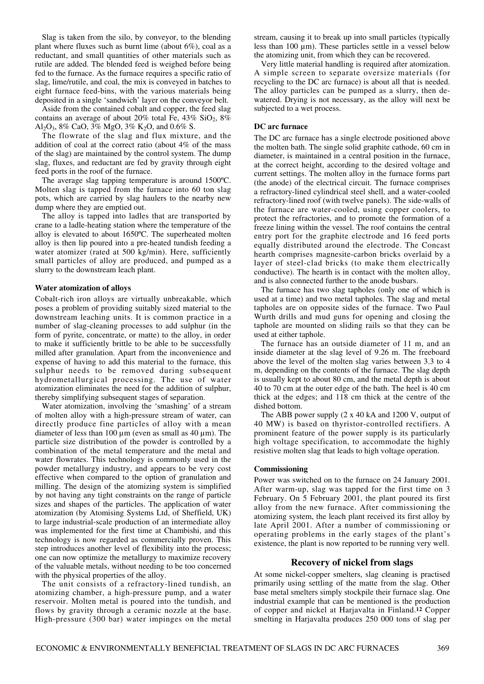Slag is taken from the silo, by conveyor, to the blending plant where fluxes such as burnt lime (about 6%), coal as a reductant, and small quantities of other materials such as rutile are added. The blended feed is weighed before being fed to the furnace. As the furnace requires a specific ratio of slag, lime/rutile, and coal, the mix is conveyed in batches to eight furnace feed-bins, with the various materials being deposited in a single 'sandwich' layer on the conveyor belt.

Aside from the contained cobalt and copper, the feed slag contains an average of about 20% total Fe,  $43\%$  SiO<sub>2</sub>,  $8\%$ Al<sub>2</sub>O<sub>3</sub>, 8% CaO, 3% MgO, 3% K<sub>2</sub>O, and 0.6% S.

The flowrate of the slag and flux mixture, and the addition of coal at the correct ratio (about 4% of the mass of the slag) are maintained by the control system. The dump slag, fluxes, and reductant are fed by gravity through eight feed ports in the roof of the furnace.

The average slag tapping temperature is around 1500ºC. Molten slag is tapped from the furnace into 60 ton slag pots, which are carried by slag haulers to the nearby new dump where they are emptied out.

The alloy is tapped into ladles that are transported by crane to a ladle-heating station where the temperature of the alloy is elevated to about 1650ºC. The superheated molten alloy is then lip poured into a pre-heated tundish feeding a water atomizer (rated at 500 kg/min). Here, sufficiently small particles of alloy are produced, and pumped as a slurry to the downstream leach plant.

#### **Water atomization of alloys**

Cobalt-rich iron alloys are virtually unbreakable, which poses a problem of providing suitably sized material to the downstream leaching units. It is common practice in a number of slag-cleaning processes to add sulphur (in the form of pyrite, concentrate, or matte) to the alloy, in order to make it sufficiently brittle to be able to be successfully milled after granulation. Apart from the inconvenience and expense of having to add this material to the furnace, this sulphur needs to be removed during subsequent hydrometallurgical processing. The use of water atomization eliminates the need for the addition of sulphur, thereby simplifying subsequent stages of separation.

Water atomization, involving the 'smashing' of a stream of molten alloy with a high-pressure stream of water, can directly produce fine particles of alloy with a mean diameter of less than  $100 \text{ µm}$  (even as small as  $40 \text{ µm}$ ). The particle size distribution of the powder is controlled by a combination of the metal temperature and the metal and water flowrates. This technology is commonly used in the powder metallurgy industry, and appears to be very cost effective when compared to the option of granulation and milling. The design of the atomizing system is simplified by not having any tight constraints on the range of particle sizes and shapes of the particles. The application of water atomization (by Atomising Systems Ltd, of Sheffield, UK) to large industrial-scale production of an intermediate alloy was implemented for the first time at Chambishi, and this technology is now regarded as commercially proven. This step introduces another level of flexibility into the process; one can now optimize the metallurgy to maximize recovery of the valuable metals, without needing to be too concerned with the physical properties of the alloy.

The unit consists of a refractory-lined tundish, an atomizing chamber, a high-pressure pump, and a water reservoir. Molten metal is poured into the tundish, and flows by gravity through a ceramic nozzle at the base. High-pressure (300 bar) water impinges on the metal stream, causing it to break up into small particles (typically less than 100 µm). These particles settle in a vessel below the atomizing unit, from which they can be recovered.

Very little material handling is required after atomization. A simple screen to separate oversize materials (for recycling to the DC arc furnace) is about all that is needed. The alloy particles can be pumped as a slurry, then dewatered. Drying is not necessary, as the alloy will next be subjected to a wet process.

#### **DC arc furnace**

The DC arc furnace has a single electrode positioned above the molten bath. The single solid graphite cathode, 60 cm in diameter, is maintained in a central position in the furnace, at the correct height, according to the desired voltage and current settings. The molten alloy in the furnace forms part (the anode) of the electrical circuit. The furnace comprises a refractory-lined cylindrical steel shell, and a water-cooled refractory-lined roof (with twelve panels). The side-walls of the furnace are water-cooled, using copper coolers, to protect the refractories, and to promote the formation of a freeze lining within the vessel. The roof contains the central entry port for the graphite electrode and 16 feed ports equally distributed around the electrode. The Concast hearth comprises magnesite-carbon bricks overlaid by a layer of steel-clad bricks (to make them electrically conductive). The hearth is in contact with the molten alloy, and is also connected further to the anode busbars.

The furnace has two slag tapholes (only one of which is used at a time) and two metal tapholes. The slag and metal tapholes are on opposite sides of the furnace. Two Paul Wurth drills and mud guns for opening and closing the taphole are mounted on sliding rails so that they can be used at either taphole.

The furnace has an outside diameter of 11 m, and an inside diameter at the slag level of 9.26 m. The freeboard above the level of the molten slag varies between 3.3 to 4 m, depending on the contents of the furnace. The slag depth is usually kept to about 80 cm, and the metal depth is about 40 to 70 cm at the outer edge of the bath. The heel is 40 cm thick at the edges; and 118 cm thick at the centre of the dished bottom.

The ABB power supply (2 x 40 kA and 1200 V, output of 40 MW) is based on thyristor-controlled rectifiers. A prominent feature of the power supply is its particularly high voltage specification, to accommodate the highly resistive molten slag that leads to high voltage operation.

### **Commissioning**

Power was switched on to the furnace on 24 January 2001. After warm-up, slag was tapped for the first time on 3 February. On 5 February 2001, the plant poured its first alloy from the new furnace. After commissioning the atomizing system, the leach plant received its first alloy by late April 2001. After a number of commissioning or operating problems in the early stages of the plant's existence, the plant is now reported to be running very well.

### **Recovery of nickel from slags**

At some nickel-copper smelters, slag cleaning is practised primarily using settling of the matte from the slag. Other base metal smelters simply stockpile their furnace slag. One industrial example that can be mentioned is the production of copper and nickel at Harjavalta in Finland.**<sup>12</sup>** Copper smelting in Harjavalta produces 250 000 tons of slag per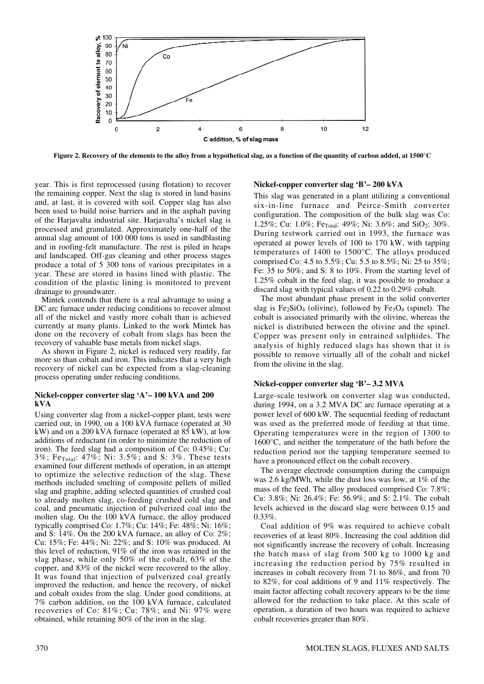

**Figure 2. Recovery of the elements to the alloy from a hypothetical slag, as a function of the quantity of carbon added, at 1500°C**

year. This is first reprocessed (using flotation) to recover the remaining copper. Next the slag is stored in land basins and, at last, it is covered with soil. Copper slag has also been used to build noise barriers and in the asphalt paving of the Harjavalta industrial site. Harjavalta's nickel slag is processed and granulated. Approximately one-half of the annual slag amount of 100 000 tons is used in sandblasting and in roofing-felt manufacture. The rest is piled in heaps and landscaped. Off-gas cleaning and other process stages produce a total of 5 300 tons of various precipitates in a year. These are stored in basins lined with plastic. The condition of the plastic lining is monitored to prevent drainage to groundwater.

Mintek contends that there is a real advantage to using a DC arc furnace under reducing conditions to recover almost all of the nickel and vastly more cobalt than is achieved currently at many plants. Linked to the work Mintek has done on the recovery of cobalt from slags has been the recovery of valuable base metals from nickel slags.

As shown in Figure 2, nickel is reduced very readily, far more so than cobalt and iron. This indicates that a very high recovery of nickel can be expected from a slag-cleaning process operating under reducing conditions.

### **Nickel-copper converter slag 'A'– 100 kVA and 200 kVA**

Using converter slag from a nickel-copper plant, tests were carried out, in 1990, on a 100 kVA furnace (operated at 30 kW) and on a 200 kVA furnace (operated at  $85$  kW), at low additions of reductant (in order to minimize the reduction of iron). The feed slag had a composition of Co: 0.45%; Cu: 3%; FeTotal: 47%; Ni: 3.5%; and S: 3%. These tests examined four different methods of operation, in an attempt to optimize the selective reduction of the slag. These methods included smelting of composite pellets of milled slag and graphite, adding selected quantities of crushed coal to already molten slag, co-feeding crushed cold slag and coal, and pneumatic injection of pulverized coal into the molten slag. On the 100 kVA furnace, the alloy produced typically comprised Co: 1.7%; Cu: 14%; Fe: 48%; Ni: 16%; and S: 14%. On the 200 kVA furnace, an alloy of Co: 2%; Cu: 15%; Fe: 44%; Ni: 22%; and S: 10% was produced. At this level of reduction, 91% of the iron was retained in the slag phase, while only 50% of the cobalt, 63% of the copper, and 83% of the nickel were recovered to the alloy. It was found that injection of pulverized coal greatly improved the reduction, and hence the recovery, of nickel and cobalt oxides from the slag. Under good conditions, at 7% carbon addition, on the 100 kVA furnace, calculated recoveries of Co: 81%; Cu: 78%; and Ni: 97% were obtained, while retaining 80% of the iron in the slag.

### **Nickel-copper converter slag 'B'– 200 kVA**

This slag was generated in a plant utilizing a conventional six-in-line furnace and Peirce-Smith converter configuration. The composition of the bulk slag was Co: 1.25%; Cu: 1.0%; Fe $_{\text{Total}}$ : 49%; Ni: 3.6%; and SiO<sub>2</sub>: 30%. During testwork carried out in 1993, the furnace was operated at power levels of 100 to 170 kW, with tapping temperatures of 1400 to 1500°C. The alloys produced comprised Co: 4.5 to 5.5%; Cu: 5.5 to 8.5%; Ni: 25 to 35%; Fe: 35 to 50%; and S: 8 to 10%. From the starting level of 1.25% cobalt in the feed slag, it was possible to produce a discard slag with typical values of 0.22 to 0.29% cobalt.

The most abundant phase present in the solid converter slag is  $Fe<sub>2</sub>SiO<sub>4</sub>$  (olivine), followed by  $Fe<sub>3</sub>O<sub>4</sub>$  (spinel). The cobalt is associated primarily with the olivine, whereas the nickel is distributed between the olivine and the spinel. Copper was present only in entrained sulphides. The analysis of highly reduced slags has shown that it is possible to remove virtually all of the cobalt and nickel from the olivine in the slag.

### **Nickel-copper converter slag 'B'– 3.2 MVA**

Large-scale testwork on converter slag was conducted, during 1994, on a 3.2 MVA DC arc furnace operating at a power level of 600 kW. The sequential feeding of reductant was used as the preferred mode of feeding at that time. Operating temperatures were in the region of 1300 to 1600°C, and neither the temperature of the bath before the reduction period nor the tapping temperature seemed to have a pronounced effect on the cobalt recovery.

The average electrode consumption during the campaign was 2.6 kg/MWh, while the dust loss was low, at 1% of the mass of the feed. The alloy produced comprised Co: 7.8%; Cu: 3.8%; Ni: 26.4%; Fe: 56.9%; and S: 2.1%. The cobalt levels achieved in the discard slag were between 0.15 and 0.33%.

Coal addition of 9% was required to achieve cobalt recoveries of at least 80%. Increasing the coal addition did not significantly increase the recovery of cobalt. Increasing the batch mass of slag from 500 kg to 1000 kg and increasing the reduction period by 75% resulted in increases in cobalt recovery from 71 to 86%, and from 70 to 82%, for coal additions of 9 and 11% respectively. The main factor affecting cobalt recovery appears to be the time allowed for the reduction to take place. At this scale of operation, a duration of two hours was required to achieve cobalt recoveries greater than 80%.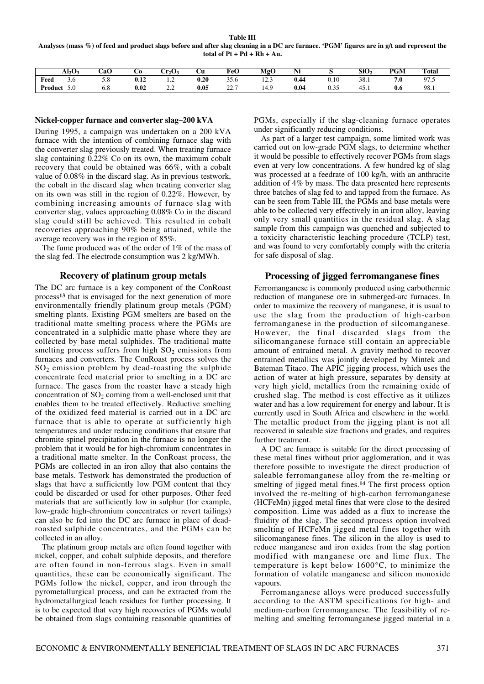**Table III Analyses (mass %) of feed and product slags before and after slag cleaning in a DC arc furnace. 'PGM' figures are in g/t and represent the total of Pt + Pd + Rh + Au.**

|           | $\mathbf{Al}_2\mathbf{O}$ | CaO | UО                     | Cr2O:                                     | Сu        | FeO                        | MgC                                   | NI   |                | $\sim$<br>SiO- | PGM | <b>Total</b> |
|-----------|---------------------------|-----|------------------------|-------------------------------------------|-----------|----------------------------|---------------------------------------|------|----------------|----------------|-----|--------------|
| Feed<br>. | 5.0<br>.                  | J.O | $\rightarrow$<br>V. LZ | .                                         | 0.20<br>. | $\sim$ $\sim$<br>33.O      | $\sim$ $\sim$<br>12.J<br>____         | 0.44 | $_{0.10}$<br>. | 38.1           | 7.U | 07<br>ن. ا   |
| Product   | 5.0                       | v.o | 0.02                   | $\sim$ $\sim$<br>$\overline{\phantom{m}}$ | 0.05      | $\sim$ $\sim$<br><u>__</u> | $^{\circ}$<br>$\overline{a}$<br>1 T.J | 0.04 | U.JJ           | 4.<br>TJ. 1    | 0.6 | 98.1         |

#### **Nickel-copper furnace and converter slag–200 kVA**

During 1995, a campaign was undertaken on a 200 kVA furnace with the intention of combining furnace slag with the converter slag previously treated. When treating furnace slag containing 0.22% Co on its own, the maximum cobalt recovery that could be obtained was 66%, with a cobalt value of 0.08% in the discard slag. As in previous testwork, the cobalt in the discard slag when treating converter slag on its own was still in the region of 0.22%. However, by combining increasing amounts of furnace slag with converter slag, values approaching 0.08% Co in the discard slag could still be achieved. This resulted in cobalt recoveries approaching 90% being attained, while the average recovery was in the region of 85%.

The fume produced was of the order of 1% of the mass of the slag fed. The electrode consumption was 2 kg/MWh.

#### **Recovery of platinum group metals**

The DC arc furnace is a key component of the ConRoast process**<sup>13</sup>** that is envisaged for the next generation of more environmentally friendly platinum group metals (PGM) smelting plants. Existing PGM smelters are based on the traditional matte smelting process where the PGMs are concentrated in a sulphidic matte phase where they are collected by base metal sulphides. The traditional matte smelting process suffers from high  $SO<sub>2</sub>$  emissions from furnaces and converters. The ConRoast process solves the  $SO<sub>2</sub>$  emission problem by dead-roasting the sulphide concentrate feed material prior to smelting in a DC arc furnace. The gases from the roaster have a steady high concentration of  $SO_2$  coming from a well-enclosed unit that enables them to be treated effectively. Reductive smelting of the oxidized feed material is carried out in a DC arc furnace that is able to operate at sufficiently high temperatures and under reducing conditions that ensure that chromite spinel precipitation in the furnace is no longer the problem that it would be for high-chromium concentrates in a traditional matte smelter. In the ConRoast process, the PGMs are collected in an iron alloy that also contains the base metals. Testwork has demonstrated the production of slags that have a sufficiently low PGM content that they could be discarded or used for other purposes. Other feed materials that are sufficiently low in sulphur (for example, low-grade high-chromium concentrates or revert tailings) can also be fed into the DC arc furnace in place of deadroasted sulphide concentrates, and the PGMs can be collected in an alloy.

The platinum group metals are often found together with nickel, copper, and cobalt sulphide deposits, and therefore are often found in non-ferrous slags. Even in small quantities, these can be economically significant. The PGMs follow the nickel, copper, and iron through the pyrometallurgical process, and can be extracted from the hydrometallurgical leach residues for further processing. It is to be expected that very high recoveries of PGMs would be obtained from slags containing reasonable quantities of PGMs, especially if the slag-cleaning furnace operates under significantly reducing conditions.

As part of a larger test campaign, some limited work was carried out on low-grade PGM slags, to determine whether it would be possible to effectively recover PGMs from slags even at very low concentrations. A few hundred kg of slag was processed at a feedrate of 100 kg/h, with an anthracite addition of 4% by mass. The data presented here represents three batches of slag fed to and tapped from the furnace. As can be seen from Table III, the PGMs and base metals were able to be collected very effectively in an iron alloy, leaving only very small quantities in the residual slag. A slag sample from this campaign was quenched and subjected to a toxicity characteristic leaching procedure (TCLP) test, and was found to very comfortably comply with the criteria for safe disposal of slag.

### **Processing of jigged ferromanganese fines**

Ferromanganese is commonly produced using carbothermic reduction of manganese ore in submerged-arc furnaces. In order to maximize the recovery of manganese, it is usual to use the slag from the production of high-carbon ferromanganese in the production of silcomanganese. However, the final discarded slags from the silicomanganese furnace still contain an appreciable amount of entrained metal. A gravity method to recover entrained metallics was jointly developed by Mintek and Bateman Titaco. The APIC jigging process, which uses the action of water at high pressure, separates by density at very high yield, metallics from the remaining oxide of crushed slag. The method is cost effective as it utilizes water and has a low requirement for energy and labour. It is currently used in South Africa and elsewhere in the world. The metallic product from the jigging plant is not all recovered in saleable size fractions and grades, and requires further treatment.

A DC arc furnace is suitable for the direct processing of these metal fines without prior agglomeration, and it was therefore possible to investigate the direct production of saleable ferromanganese alloy from the re-melting or smelting of jigged metal fines.**<sup>14</sup>** The first process option involved the re-melting of high-carbon ferromanganese (HCFeMn) jigged metal fines that were close to the desired composition. Lime was added as a flux to increase the fluidity of the slag. The second process option involved smelting of HCFeMn jigged metal fines together with silicomanganese fines. The silicon in the alloy is used to reduce manganese and iron oxides from the slag portion modified with manganese ore and lime flux. The temperature is kept below 1600°C, to minimize the formation of volatile manganese and silicon monoxide vapours.

Ferromanganese alloys were produced successfully according to the ASTM specifications for high- and medium-carbon ferromanganese. The feasibility of remelting and smelting ferromanganese jigged material in a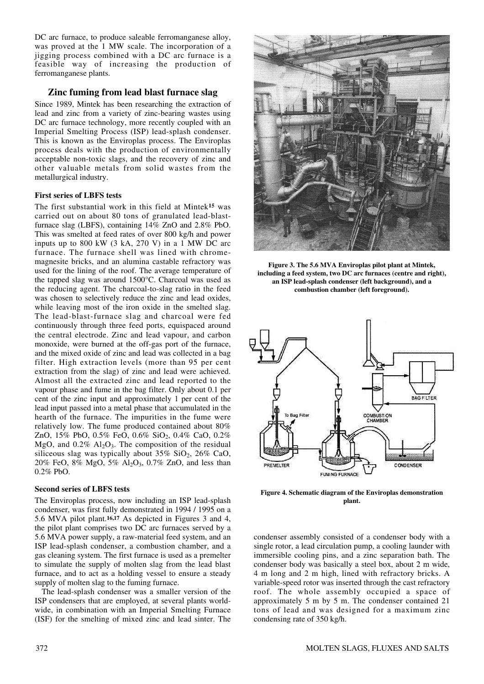DC arc furnace, to produce saleable ferromanganese alloy, was proved at the 1 MW scale. The incorporation of a jigging process combined with a DC arc furnace is a feasible way of increasing the production of ferromanganese plants.

# **Zinc fuming from lead blast furnace slag**

Since 1989, Mintek has been researching the extraction of lead and zinc from a variety of zinc-bearing wastes using DC arc furnace technology, more recently coupled with an Imperial Smelting Process (ISP) lead-splash condenser. This is known as the Enviroplas process. The Enviroplas process deals with the production of environmentally acceptable non-toxic slags, and the recovery of zinc and other valuable metals from solid wastes from the metallurgical industry.

#### **First series of LBFS tests**

The first substantial work in this field at Mintek**<sup>15</sup>** was carried out on about 80 tons of granulated lead-blastfurnace slag (LBFS), containing 14% ZnO and 2.8% PbO. This was smelted at feed rates of over 800 kg/h and power inputs up to 800 kW (3 kA, 270 V) in a 1 MW DC arc furnace. The furnace shell was lined with chromemagnesite bricks, and an alumina castable refractory was used for the lining of the roof. The average temperature of the tapped slag was around 1500°C. Charcoal was used as the reducing agent. The charcoal-to-slag ratio in the feed was chosen to selectively reduce the zinc and lead oxides, while leaving most of the iron oxide in the smelted slag. The lead-blast-furnace slag and charcoal were fed continuously through three feed ports, equispaced around the central electrode. Zinc and lead vapour, and carbon monoxide, were burned at the off-gas port of the furnace, and the mixed oxide of zinc and lead was collected in a bag filter. High extraction levels (more than 95 per cent extraction from the slag) of zinc and lead were achieved. Almost all the extracted zinc and lead reported to the vapour phase and fume in the bag filter. Only about 0.1 per cent of the zinc input and approximately 1 per cent of the lead input passed into a metal phase that accumulated in the hearth of the furnace. The impurities in the fume were relatively low. The fume produced contained about 80% ZnO,  $15\%$  PbO,  $0.5\%$  FeO,  $0.6\%$  SiO<sub>2</sub>,  $0.4\%$  CaO,  $0.2\%$ MgO, and  $0.2\%$  Al<sub>2</sub>O<sub>3</sub>. The composition of the residual siliceous slag was typically about  $35\%$  SiO<sub>2</sub>,  $26\%$  CaO, 20% FeO, 8% MgO, 5% Al2O3, 0.7% ZnO, and less than 0.2% PbO.

#### **Second series of LBFS tests**

The Enviroplas process, now including an ISP lead-splash condenser, was first fully demonstrated in 1994 / 1995 on a 5.6 MVA pilot plant.**16,17** As depicted in Figures 3 and 4, the pilot plant comprises two DC arc furnaces served by a 5.6 MVA power supply, a raw-material feed system, and an ISP lead-splash condenser, a combustion chamber, and a gas cleaning system. The first furnace is used as a premelter to simulate the supply of molten slag from the lead blast furnace, and to act as a holding vessel to ensure a steady supply of molten slag to the fuming furnace.

The lead-splash condenser was a smaller version of the ISP condensers that are employed, at several plants worldwide, in combination with an Imperial Smelting Furnace (ISF) for the smelting of mixed zinc and lead sinter. The



**Figure 3. The 5.6 MVA Enviroplas pilot plant at Mintek, including a feed system, two DC arc furnaces (centre and right), an ISP lead-splash condenser (left background), and a combustion chamber (left foreground).**



**Figure 4. Schematic diagram of the Enviroplas demonstration plant.**

condenser assembly consisted of a condenser body with a single rotor, a lead circulation pump, a cooling launder with immersible cooling pins, and a zinc separation bath. The condenser body was basically a steel box, about 2 m wide, 4 m long and 2 m high, lined with refractory bricks. A variable-speed rotor was inserted through the cast refractory roof. The whole assembly occupied a space of approximately 5 m by 5 m. The condenser contained 21 tons of lead and was designed for a maximum zinc condensing rate of 350 kg/h.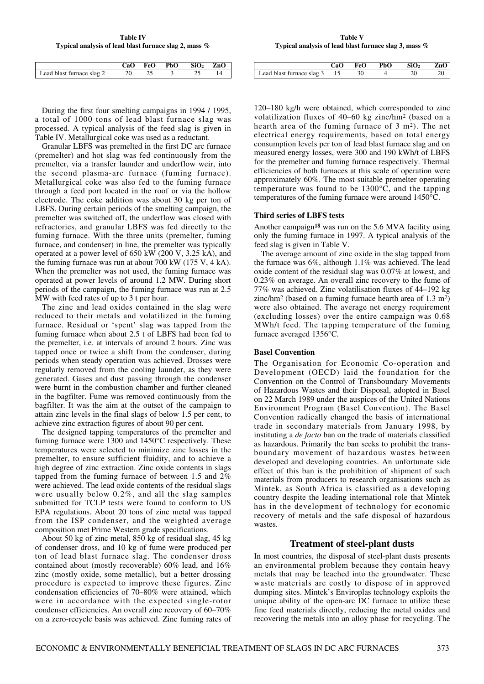**Table IV Typical analysis of lead blast furnace slag 2, mass %**

|                           |  | CaO FeO PbO $SiO2$ ZnO |  |
|---------------------------|--|------------------------|--|
| Lead blast furnace slag 2 |  |                        |  |

During the first four smelting campaigns in 1994 / 1995, a total of 1000 tons of lead blast furnace slag was processed. A typical analysis of the feed slag is given in Table IV. Metallurgical coke was used as a reductant.

Granular LBFS was premelted in the first DC arc furnace (premelter) and hot slag was fed continuously from the premelter, via a transfer launder and underflow weir, into the second plasma-arc furnace (fuming furnace). Metallurgical coke was also fed to the fuming furnace through a feed port located in the roof or via the hollow electrode. The coke addition was about 30 kg per ton of LBFS. During certain periods of the smelting campaign, the premelter was switched off, the underflow was closed with refractories, and granular LBFS was fed directly to the fuming furnace. With the three units (premelter, fuming furnace, and condenser) in line, the premelter was typically operated at a power level of 650 kW (200 V, 3.25 kA), and the fuming furnace was run at about 700 kW (175 V, 4 kA). When the premelter was not used, the fuming furnace was operated at power levels of around 1.2 MW. During short periods of the campaign, the fuming furnace was run at 2.5 MW with feed rates of up to 3 t per hour.

The zinc and lead oxides contained in the slag were reduced to their metals and volatilized in the fuming furnace. Residual or 'spent' slag was tapped from the fuming furnace when about 2.5 t of LBFS had been fed to the premelter, i.e. at intervals of around 2 hours. Zinc was tapped once or twice a shift from the condenser, during periods when steady operation was achieved. Drosses were regularly removed from the cooling launder, as they were generated. Gases and dust passing through the condenser were burnt in the combustion chamber and further cleaned in the bagfilter. Fume was removed continuously from the bagfilter. It was the aim at the outset of the campaign to attain zinc levels in the final slags of below 1.5 per cent, to achieve zinc extraction figures of about 90 per cent.

The designed tapping temperatures of the premelter and fuming furnace were 1300 and 1450°C respectively. These temperatures were selected to minimize zinc losses in the premelter, to ensure sufficient fluidity, and to achieve a high degree of zinc extraction. Zinc oxide contents in slags tapped from the fuming furnace of between 1.5 and 2% were achieved. The lead oxide contents of the residual slags were usually below 0.2%, and all the slag samples submitted for TCLP tests were found to conform to US EPA regulations. About 20 tons of zinc metal was tapped from the ISP condenser, and the weighted average composition met Prime Western grade specifications.

About 50 kg of zinc metal, 850 kg of residual slag, 45 kg of condenser dross, and 10 kg of fume were produced per ton of lead blast furnace slag. The condenser dross contained about (mostly recoverable) 60% lead, and 16% zinc (mostly oxide, some metallic), but a better drossing procedure is expected to improve these figures. Zinc condensation efficiencies of 70–80% were attained, which were in accordance with the expected single-rotor condenser efficiencies. An overall zinc recovery of 60–70% on a zero-recycle basis was achieved. Zinc fuming rates of

**Table V Typical analysis of lead blast furnace slag 3, mass %**

|                              | CaO- | FeO PbO | SiO <sub>2</sub> | ZnO |
|------------------------------|------|---------|------------------|-----|
| Lead blast furnace slag 3 15 |      |         |                  |     |

120–180 kg/h were obtained, which corresponded to zinc volatilization fluxes of 40–60 kg zinc/hm2 (based on a hearth area of the fuming furnace of 3 m2). The net electrical energy requirements, based on total energy consumption levels per ton of lead blast furnace slag and on measured energy losses, were 300 and 190 kWh/t of LBFS for the premelter and fuming furnace respectively. Thermal efficiencies of both furnaces at this scale of operation were approximately 60%. The most suitable premelter operating temperature was found to be 1300°C, and the tapping temperatures of the fuming furnace were around 1450°C.

### **Third series of LBFS tests**

Another campaign**<sup>18</sup>** was run on the 5.6 MVA facility using only the fuming furnace in 1997. A typical analysis of the feed slag is given in Table V.

The average amount of zinc oxide in the slag tapped from the furnace was 6%, although 1.1% was achieved. The lead oxide content of the residual slag was 0.07% at lowest, and 0.23% on average. An overall zinc recovery to the fume of 77% was achieved. Zinc volatilisation fluxes of 44–192 kg zinc/hm2 (based on a fuming furnace hearth area of 1.3 m2) were also obtained. The average net energy requirement (excluding losses) over the entire campaign was 0.68 MWh/t feed. The tapping temperature of the fuming furnace averaged 1356°C.

### **Basel Convention**

The Organisation for Economic Co-operation and Development (OECD) laid the foundation for the Convention on the Control of Transboundary Movements of Hazardous Wastes and their Disposal, adopted in Basel on 22 March 1989 under the auspices of the United Nations Environment Program (Basel Convention). The Basel Convention radically changed the basis of international trade in secondary materials from January 1998, by instituting a *de facto* ban on the trade of materials classified as hazardous. Primarily the ban seeks to prohibit the transboundary movement of hazardous wastes between developed and developing countries. An unfortunate side effect of this ban is the prohibition of shipment of such materials from producers to research organisations such as Mintek, as South Africa is classified as a developing country despite the leading international role that Mintek has in the development of technology for economic recovery of metals and the safe disposal of hazardous wastes.

### **Treatment of steel-plant dusts**

In most countries, the disposal of steel-plant dusts presents an environmental problem because they contain heavy metals that may be leached into the groundwater. These waste materials are costly to dispose of in approved dumping sites. Mintek's Enviroplas technology exploits the unique ability of the open-arc DC furnace to utilize these fine feed materials directly, reducing the metal oxides and recovering the metals into an alloy phase for recycling. The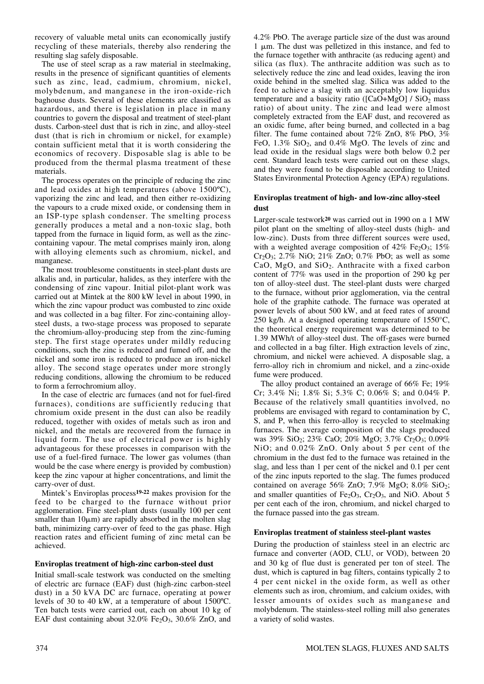recovery of valuable metal units can economically justify recycling of these materials, thereby also rendering the resulting slag safely disposable.

The use of steel scrap as a raw material in steelmaking, results in the presence of significant quantities of elements such as zinc, lead, cadmium, chromium, nickel, molybdenum, and manganese in the iron-oxide-rich baghouse dusts. Several of these elements are classified as hazardous, and there is legislation in place in many countries to govern the disposal and treatment of steel-plant dusts. Carbon-steel dust that is rich in zinc, and alloy-steel dust (that is rich in chromium or nickel, for example) contain sufficient metal that it is worth considering the economics of recovery. Disposable slag is able to be produced from the thermal plasma treatment of these materials.

The process operates on the principle of reducing the zinc and lead oxides at high temperatures (above 1500ºC), vaporizing the zinc and lead, and then either re-oxidizing the vapours to a crude mixed oxide, or condensing them in an ISP-type splash condenser. The smelting process generally produces a metal and a non-toxic slag, both tapped from the furnace in liquid form, as well as the zinccontaining vapour. The metal comprises mainly iron, along with alloying elements such as chromium, nickel, and manganese.

The most troublesome constituents in steel-plant dusts are alkalis and, in particular, halides, as they interfere with the condensing of zinc vapour. Initial pilot-plant work was carried out at Mintek at the 800 kW level in about 1990, in which the zinc vapour product was combusted to zinc oxide and was collected in a bag filter. For zinc-containing alloysteel dusts, a two-stage process was proposed to separate the chromium-alloy-producing step from the zinc-fuming step. The first stage operates under mildly reducing conditions, such the zinc is reduced and fumed off, and the nickel and some iron is reduced to produce an iron-nickel alloy. The second stage operates under more strongly reducing conditions, allowing the chromium to be reduced to form a ferrochromium alloy.

In the case of electric arc furnaces (and not for fuel-fired furnaces), conditions are sufficiently reducing that chromium oxide present in the dust can also be readily reduced, together with oxides of metals such as iron and nickel, and the metals are recovered from the furnace in liquid form. The use of electrical power is highly advantageous for these processes in comparison with the use of a fuel-fired furnace. The lower gas volumes (than would be the case where energy is provided by combustion) keep the zinc vapour at higher concentrations, and limit the carry-over of dust.

Mintek's Enviroplas process**19-22** makes provision for the feed to be charged to the furnace without prior agglomeration. Fine steel-plant dusts (usually 100 per cent smaller than  $10 \mu m$ ) are rapidly absorbed in the molten slag bath, minimizing carry-over of feed to the gas phase. High reaction rates and efficient fuming of zinc metal can be achieved.

### **Enviroplas treatment of high-zinc carbon-steel dust**

Initial small-scale testwork was conducted on the smelting of electric arc furnace (EAF) dust (high-zinc carbon-steel dust) in a 50 kVA DC arc furnace, operating at power levels of 30 to 40 kW, at a temperature of about 1500ºC. Ten batch tests were carried out, each on about 10 kg of EAF dust containing about  $32.0\%$  Fe<sub>2</sub>O<sub>3</sub>,  $30.6\%$  ZnO, and 4.2% PbO. The average particle size of the dust was around  $1 \mu m$ . The dust was pelletized in this instance, and fed to the furnace together with anthracite (as reducing agent) and silica (as flux). The anthracite addition was such as to selectively reduce the zinc and lead oxides, leaving the iron oxide behind in the smelted slag. Silica was added to the feed to achieve a slag with an acceptably low liquidus temperature and a basicity ratio ( $[CaO+MgO] / SiO<sub>2</sub>$  mass ratio) of about unity. The zinc and lead were almost completely extracted from the EAF dust, and recovered as an oxidic fume, after being burned, and collected in a bag filter. The fume contained about 72% ZnO, 8% PbO, 3% FeO,  $1.3\%$  SiO<sub>2</sub>, and  $0.4\%$  MgO. The levels of zinc and lead oxide in the residual slags were both below 0.2 per cent. Standard leach tests were carried out on these slags, and they were found to be disposable according to United States Environmental Protection Agency (EPA) regulations.

### **Enviroplas treatment of high- and low-zinc alloy-steel dust**

Larger-scale testwork**<sup>20</sup>** was carried out in 1990 on a 1 MW pilot plant on the smelting of alloy-steel dusts (high- and low-zinc). Dusts from three different sources were used, with a weighted average composition of  $42\%$  Fe<sub>2</sub>O<sub>3</sub>; 15%  $Cr_2O_3$ ; 2.7% NiO; 21% ZnO; 0.7% PbO; as well as some CaO, MgO, and SiO2. Anthracite with a fixed carbon content of 77% was used in the proportion of 290 kg per ton of alloy-steel dust. The steel-plant dusts were charged to the furnace, without prior agglomeration, via the central hole of the graphite cathode. The furnace was operated at power levels of about 500 kW, and at feed rates of around 250 kg/h. At a designed operating temperature of 1550°C, the theoretical energy requirement was determined to be 1.39 MWh/t of alloy-steel dust. The off-gases were burned and collected in a bag filter. High extraction levels of zinc, chromium, and nickel were achieved. A disposable slag, a ferro-alloy rich in chromium and nickel, and a zinc-oxide fume were produced.

The alloy product contained an average of 66% Fe; 19% Cr; 3.4% Ni; 1.8% Si; 5.3% C; 0.06% S; and 0.04% P. Because of the relatively small quantities involved, no problems are envisaged with regard to contamination by C, S, and P, when this ferro-alloy is recycled to steelmaking furnaces. The average composition of the slags produced was 39% SiO<sub>2</sub>; 23% CaO; 20% MgO; 3.7% Cr<sub>2</sub>O<sub>3</sub>; 0.09% NiO; and 0.02% ZnO. Only about 5 per cent of the chromium in the dust fed to the furnace was retained in the slag, and less than 1 per cent of the nickel and 0.1 per cent of the zinc inputs reported to the slag. The fumes produced contained on average  $56\%$  ZnO;  $7.9\%$  MgO;  $8.0\%$  SiO<sub>2</sub>; and smaller quantities of Fe<sub>2</sub>O<sub>3</sub>, Cr<sub>2</sub>O<sub>3</sub>, and NiO. About 5 per cent each of the iron, chromium, and nickel charged to the furnace passed into the gas stream.

### **Enviroplas treatment of stainless steel-plant wastes**

During the production of stainless steel in an electric arc furnace and converter (AOD, CLU, or VOD), between 20 and 30 kg of flue dust is generated per ton of steel. The dust, which is captured in bag filters, contains typically 2 to 4 per cent nickel in the oxide form, as well as other elements such as iron, chromium, and calcium oxides, with lesser amounts of oxides such as manganese and molybdenum. The stainless-steel rolling mill also generates a variety of solid wastes.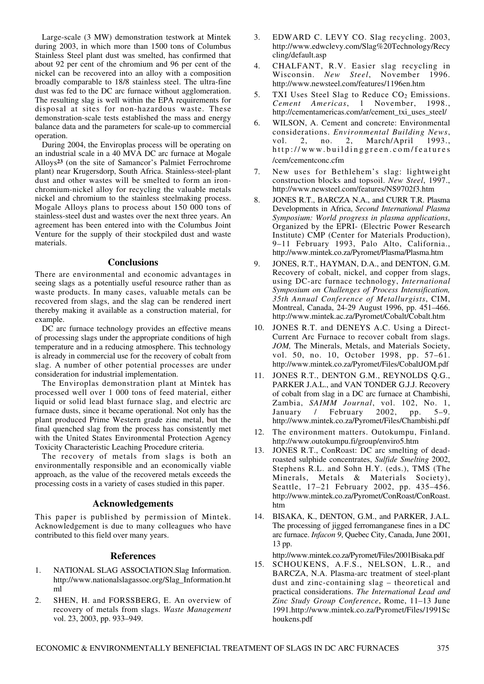Large-scale (3 MW) demonstration testwork at Mintek during 2003, in which more than 1500 tons of Columbus Stainless Steel plant dust was smelted, has confirmed that about 92 per cent of the chromium and 96 per cent of the nickel can be recovered into an alloy with a composition broadly comparable to 18/8 stainless steel. The ultra-fine dust was fed to the DC arc furnace without agglomeration. The resulting slag is well within the EPA requirements for disposal at sites for non-hazardous waste. These demonstration-scale tests established the mass and energy balance data and the parameters for scale-up to commercial operation.

During 2004, the Enviroplas process will be operating on an industrial scale in a 40 MVA DC arc furnace at Mogale Alloys**<sup>23</sup>** (on the site of Samancor's Palmiet Ferrochrome plant) near Krugersdorp, South Africa. Stainless-steel-plant dust and other wastes will be smelted to form an ironchromium-nickel alloy for recycling the valuable metals nickel and chromium to the stainless steelmaking process. Mogale Alloys plans to process about 150 000 tons of stainless-steel dust and wastes over the next three years. An agreement has been entered into with the Columbus Joint Venture for the supply of their stockpiled dust and waste materials.

### **Conclusions**

There are environmental and economic advantages in seeing slags as a potentially useful resource rather than as waste products. In many cases, valuable metals can be recovered from slags, and the slag can be rendered inert thereby making it available as a construction material, for example.

DC arc furnace technology provides an effective means of processing slags under the appropriate conditions of high temperature and in a reducing atmosphere. This technology is already in commercial use for the recovery of cobalt from slag. A number of other potential processes are under consideration for industrial implementation.

The Enviroplas demonstration plant at Mintek has processed well over 1 000 tons of feed material, either liquid or solid lead blast furnace slag, and electric arc furnace dusts, since it became operational. Not only has the plant produced Prime Western grade zinc metal, but the final quenched slag from the process has consistently met with the United States Environmental Protection Agency Toxicity Characteristic Leaching Procedure criteria.

The recovery of metals from slags is both an environmentally responsible and an economically viable approach, as the value of the recovered metals exceeds the processing costs in a variety of cases studied in this paper.

### **Acknowledgements**

This paper is published by permission of Mintek. Acknowledgement is due to many colleagues who have contributed to this field over many years.

# **References**

- 1. NATIONAL SLAG ASSOCIATION.Slag Information. http://www.nationalslagassoc.org/Slag\_Information.ht ml
- 2. SHEN, H. and FORSSBERG, E. An overview of recovery of metals from slags. *Waste Management* vol. 23, 2003, pp. 933–949.
- 3. EDWARD C. LEVY CO. Slag recycling. 2003, http://www.edwclevy.com/Slag%20Technology/Recy cling/default.asp
- 4. CHALFANT, R.V. Easier slag recycling in Wisconsin. *New Steel*, November 1996. http://www.newsteel.com/features/1196en.htm
- 5. TXI Uses Steel Slag to Reduce  $CO<sub>2</sub>$  Emissions. *Cement Americas*, 1 November, 1998., http://cementamericas.com/ar/cement\_txi\_uses\_steel/
- 6. WILSON, A. Cement and concrete: Environmental considerations. *Environmental Building News*, vol. 2, no. 2, March/April 1993., http://www.buildinggreen.com/features /cem/cementconc.cfm
- 7. New uses for Bethlehem's slag: lightweight construction blocks and topsoil. *New Steel*, 1997., http://www.newsteel.com/features/NS9702f3.htm
- 8. JONES R.T., BARCZA N.A., and CURR T.R. Plasma Developments in Africa, *Second International Plasma Symposium: World progress in plasma applications*, Organized by the EPRI- (Electric Power Research Institute) CMP (Center for Materials Production), 9–11 February 1993, Palo Alto, California., http://www.mintek.co.za/Pyromet/Plasma/Plasma.htm
- 9. JONES, R.T., HAYMAN, D.A., and DENTON, G.M. Recovery of cobalt, nickel, and copper from slags, using DC-arc furnace technology, *International Symposium on Challenges of Process Intensification, 35th Annual Conference of Metallurgists*, CIM, Montreal, Canada, 24-29 August 1996, pp. 451–466. http://www.mintek.ac.za/Pyromet/Cobalt/Cobalt.htm
- 10. JONES R.T. and DENEYS A.C. Using a Direct-Current Arc Furnace to recover cobalt from slags. *JOM,* The Minerals, Metals, and Materials Society, vol. 50, no. 10, October 1998, pp. 57–61. http://www.mintek.co.za/Pyromet/Files/CobaltJOM.pdf
- 11. JONES R.T., DENTON G.M., REYNOLDS Q.G., PARKER J.A.L., and VAN TONDER G.J.J. Recovery of cobalt from slag in a DC arc furnace at Chambishi, Zambia, *SAIMM Journal*, vol. 102, No. 1, January / February 2002, pp. 5–9. http://www.mintek.co.za/Pyromet/Files/Chambishi.pdf
- 12. The environment matters. Outokumpu, Finland. http://www.outokumpu.fi/group/enviro5.htm
- 13. JONES R.T., ConRoast: DC arc smelting of deadroasted sulphide concentrates, *Sulfide Smelting* 2002, Stephens R.L. and Sohn H.Y. (eds.), TMS (The Minerals, Metals & Materials Society), Seattle, 17–21 February 2002, pp. 435–456. http://www.mintek.co.za/Pyromet/ConRoast/ConRoast. htm
- 14. BISAKA, K., DENTON, G.M., and PARKER, J.A.L. The processing of jigged ferromanganese fines in a DC arc furnace. *Infacon 9*, Quebec City, Canada, June 2001, 13 pp.

http://www.mintek.co.za/Pyromet/Files/2001Bisaka.pdf

15. SCHOUKENS, A.F.S., NELSON, L.R., and BARCZA, N.A. Plasma-arc treatment of steel-plant dust and zinc-containing slag – theoretical and practical considerations. *The International Lead and Zinc Study Group Conference*, Rome, 11–13 June 1991.http://www.mintek.co.za/Pyromet/Files/1991Sc houkens.pdf